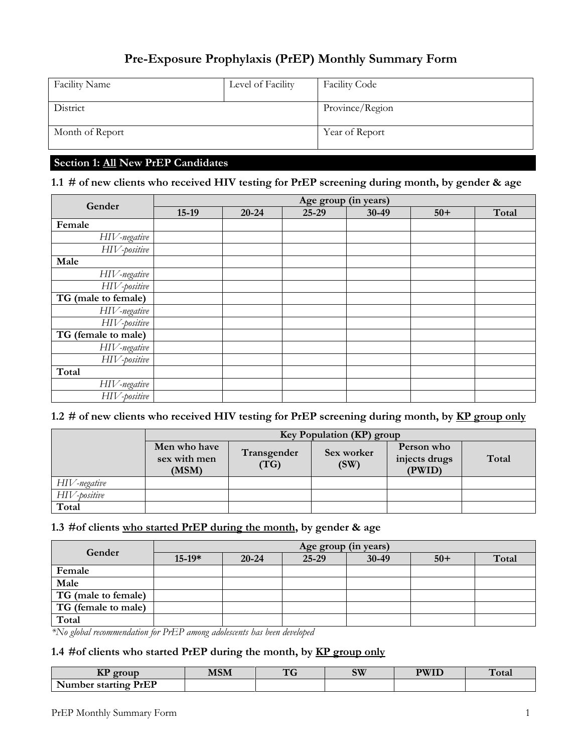# **Pre-Exposure Prophylaxis (PrEP) Monthly Summary Form**

| <b>Facility Name</b> | Level of Facility | <b>Facility Code</b> |
|----------------------|-------------------|----------------------|
| District             |                   | Province/Region      |
| Month of Report      |                   | Year of Report       |

# **Section 1: All New PrEP Candidates**

#### **1.1 # of new clients who received HIV testing for PrEP screening during month, by gender & age**

| Gender                     | Age group (in years) |           |       |       |       |       |
|----------------------------|----------------------|-----------|-------|-------|-------|-------|
|                            | $15-19$              | $20 - 24$ | 25-29 | 30-49 | $50+$ | Total |
| Female                     |                      |           |       |       |       |       |
| HIV-negative               |                      |           |       |       |       |       |
| HIV-positive               |                      |           |       |       |       |       |
| Male                       |                      |           |       |       |       |       |
| HIV-negative               |                      |           |       |       |       |       |
| HIV-positive               |                      |           |       |       |       |       |
| TG (male to female)        |                      |           |       |       |       |       |
| HIV-negative               |                      |           |       |       |       |       |
| HIV-positive               |                      |           |       |       |       |       |
| TG (female to male)        |                      |           |       |       |       |       |
| HIV-negative               |                      |           |       |       |       |       |
| HIV-positive               |                      |           |       |       |       |       |
| Total                      |                      |           |       |       |       |       |
| HIV-negative               |                      |           |       |       |       |       |
| $\overline{HI}V$ -positive |                      |           |       |       |       |       |

### **1.2 # of new clients who received HIV testing for PrEP screening during month, by KP group only**

|              | Key Population (KP) group             |                     |                    |                                       |       |  |  |
|--------------|---------------------------------------|---------------------|--------------------|---------------------------------------|-------|--|--|
|              | Men who have<br>sex with men<br>(MSM) | Transgender<br>(TG) | Sex worker<br>(SW) | Person who<br>injects drugs<br>(PWID) | Total |  |  |
| HIV-negative |                                       |                     |                    |                                       |       |  |  |
| HIV-positive |                                       |                     |                    |                                       |       |  |  |
| Total        |                                       |                     |                    |                                       |       |  |  |

## **1.3 #of clients who started PrEP during the month, by gender & age**

| Gender              |          |           | Age group (in years) |       |       |       |
|---------------------|----------|-----------|----------------------|-------|-------|-------|
|                     | $15-19*$ | $20 - 24$ | $25 - 29$            | 30-49 | $50+$ | Total |
| Female              |          |           |                      |       |       |       |
| Male                |          |           |                      |       |       |       |
| TG (male to female) |          |           |                      |       |       |       |
| TG (female to male) |          |           |                      |       |       |       |
| Total               |          |           |                      |       |       |       |

*\*No global recommendation for PrEP among adolescents has been developed*

#### **1.4 #of clients who started PrEP during the month, by KP group only**

| ---<br>proun<br>m           | MSM | $\mathbf{H}$ | SW | <b>PWIL</b> | l'otal |
|-----------------------------|-----|--------------|----|-------------|--------|
| <b>Number starting PrEP</b> |     |              |    |             |        |